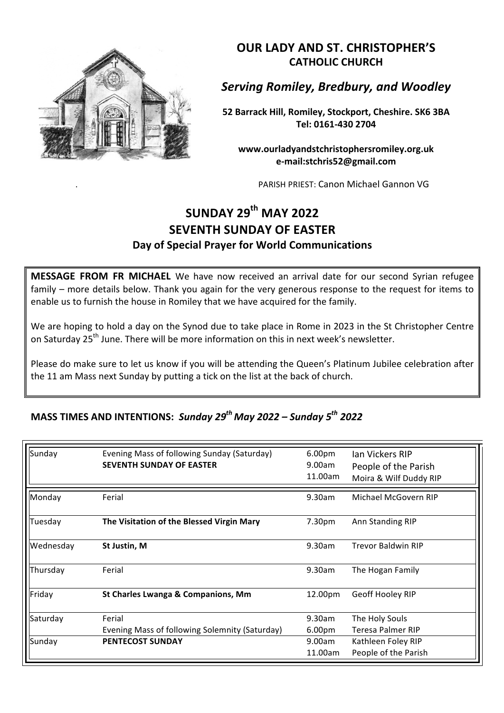

**OUR LADY AND ST. CHRISTOPHER'S CATHOLIC CHURCH**

**Serving Romiley, Bredbury, and Woodley** 

**52 Barrack Hill, Romiley, Stockport, Cheshire. SK6 3BA Tel: 0161-430 2704**

**www.ourladyandstchristophersromiley.org.uk e-mail:stchris52@gmail.com**

PARISH PRIEST: Canon Michael Gannon VG

## **SUNDAY 29th MAY 2022 SEVENTH SUNDAY OF EASTER Day of Special Prayer for World Communications**

**MESSAGE FROM FR MICHAEL** We have now received an arrival date for our second Syrian refugee family – more details below. Thank you again for the very generous response to the request for items to enable us to furnish the house in Romiley that we have acquired for the family.

We are hoping to hold a day on the Synod due to take place in Rome in 2023 in the St Christopher Centre on Saturday 25<sup>th</sup> June. There will be more information on this in next week's newsletter.

Please do make sure to let us know if you will be attending the Queen's Platinum Jubilee celebration after the 11 am Mass next Sunday by putting a tick on the list at the back of church.

## **MASS TIMES AND INTENTIONS: Sunday 29<sup>th</sup> May 2022 – Sunday 5<sup>th</sup> 2022**

| Sunday    | Evening Mass of following Sunday (Saturday)<br><b>SEVENTH SUNDAY OF EASTER</b> | 6.00 <sub>pm</sub><br>9.00am<br>11.00am | Ian Vickers RIP<br>People of the Parish<br>Moira & Wilf Duddy RIP |
|-----------|--------------------------------------------------------------------------------|-----------------------------------------|-------------------------------------------------------------------|
| Monday    | Ferial                                                                         | 9.30am                                  | Michael McGovern RIP                                              |
| Tuesday   | The Visitation of the Blessed Virgin Mary                                      | 7.30pm                                  | Ann Standing RIP                                                  |
| Wednesday | St Justin, M                                                                   | 9.30am                                  | <b>Trevor Baldwin RIP</b>                                         |
| Thursday  | Ferial                                                                         | 9.30am                                  | The Hogan Family                                                  |
| Friday    | St Charles Lwanga & Companions, Mm                                             | 12.00pm                                 | Geoff Hooley RIP                                                  |
| Saturday  | Ferial                                                                         | 9.30am                                  | The Holy Souls                                                    |
|           | Evening Mass of following Solemnity (Saturday)                                 | 6.00 <sub>pm</sub>                      | Teresa Palmer RIP                                                 |
| Sunday    | <b>PENTECOST SUNDAY</b>                                                        | 9.00am                                  | Kathleen Foley RIP                                                |
|           |                                                                                | 11.00am                                 | People of the Parish                                              |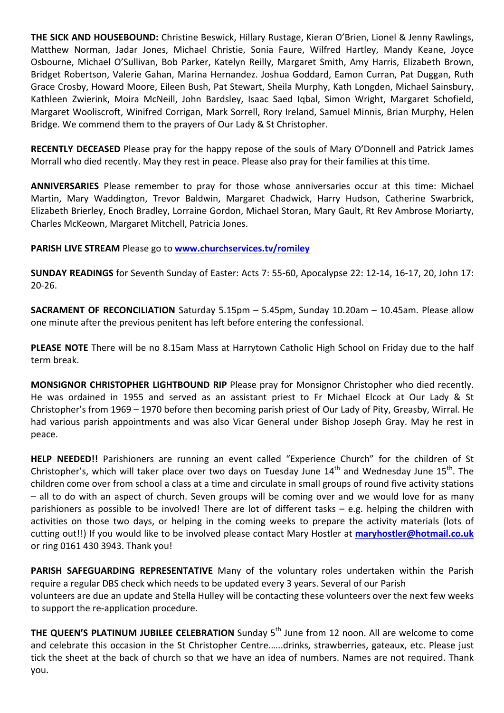**THE SICK AND HOUSEBOUND:** Christine Beswick, Hillary Rustage, Kieran O'Brien, Lionel & Jenny Rawlings, Matthew Norman, Jadar Jones, Michael Christie, Sonia Faure, Wilfred Hartley, Mandy Keane, Joyce Osbourne, Michael O'Sullivan, Bob Parker, Katelyn Reilly, Margaret Smith, Amy Harris, Elizabeth Brown, Bridget Robertson, Valerie Gahan, Marina Hernandez. Joshua Goddard, Eamon Curran, Pat Duggan, Ruth Grace Crosby, Howard Moore, Eileen Bush, Pat Stewart, Sheila Murphy, Kath Longden, Michael Sainsbury, Kathleen Zwierink, Moira McNeill, John Bardsley, Isaac Saed Iqbal, Simon Wright, Margaret Schofield, Margaret Wooliscroft, Winifred Corrigan, Mark Sorrell, Rory Ireland, Samuel Minnis, Brian Murphy, Helen Bridge. We commend them to the prayers of Our Lady & St Christopher.

**RECENTLY DECEASED** Please pray for the happy repose of the souls of Mary O'Donnell and Patrick James Morrall who died recently. May they rest in peace. Please also pray for their families at this time.

**ANNIVERSARIES** Please remember to pray for those whose anniversaries occur at this time: Michael Martin, Mary Waddington, Trevor Baldwin, Margaret Chadwick, Harry Hudson, Catherine Swarbrick, Elizabeth Brierley, Enoch Bradley, Lorraine Gordon, Michael Storan, Mary Gault, Rt Rev Ambrose Moriarty. Charles McKeown, Margaret Mitchell, Patricia Jones.

## **PARISH LIVE STREAM Please go to www.churchservices.tv/romiley**

**SUNDAY READINGS** for Seventh Sunday of Easter: Acts 7: 55-60, Apocalypse 22: 12-14, 16-17, 20, John 17: 20-26.

**SACRAMENT OF RECONCILIATION** Saturday 5.15pm - 5.45pm, Sunday 10.20am - 10.45am. Please allow one minute after the previous penitent has left before entering the confessional.

PLEASE NOTE There will be no 8.15am Mass at Harrytown Catholic High School on Friday due to the half term break.

**MONSIGNOR CHRISTOPHER LIGHTBOUND RIP** Please pray for Monsignor Christopher who died recently. He was ordained in 1955 and served as an assistant priest to Fr Michael Elcock at Our Lady & St Christopher's from 1969 – 1970 before then becoming parish priest of Our Lady of Pity, Greasby, Wirral. He had various parish appointments and was also Vicar General under Bishop Joseph Gray. May he rest in peace.

**HELP NEEDED!!** Parishioners are running an event called "Experience Church" for the children of St Christopher's, which will taker place over two days on Tuesday June  $14<sup>th</sup>$  and Wednesday June  $15<sup>th</sup>$ . The children come over from school a class at a time and circulate in small groups of round five activity stations  $-$  all to do with an aspect of church. Seven groups will be coming over and we would love for as many parishioners as possible to be involved! There are lot of different tasks  $-$  e.g. helping the children with activities on those two days, or helping in the coming weeks to prepare the activity materials (lots of cutting out!!) If you would like to be involved please contact Mary Hostler at maryhostler@hotmail.co.uk or ring 0161 430 3943. Thank you!

**PARISH SAFEGUARDING REPRESENTATIVE** Many of the voluntary roles undertaken within the Parish require a regular DBS check which needs to be updated every 3 years. Several of our Parish volunteers are due an update and Stella Hulley will be contacting these volunteers over the next few weeks to support the re-application procedure.

**THE QUEEN'S PLATINUM JUBILEE CELEBRATION** Sunday 5<sup>th</sup> June from 12 noon. All are welcome to come and celebrate this occasion in the St Christopher Centre......drinks, strawberries, gateaux, etc. Please just tick the sheet at the back of church so that we have an idea of numbers. Names are not required. Thank you.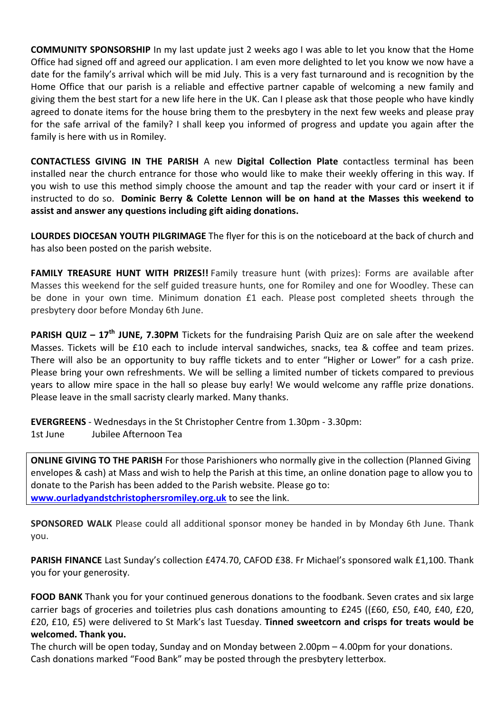**COMMUNITY SPONSORSHIP** In my last update just 2 weeks ago I was able to let you know that the Home Office had signed off and agreed our application. I am even more delighted to let you know we now have a date for the family's arrival which will be mid July. This is a very fast turnaround and is recognition by the Home Office that our parish is a reliable and effective partner capable of welcoming a new family and giving them the best start for a new life here in the UK. Can I please ask that those people who have kindly agreed to donate items for the house bring them to the presbytery in the next few weeks and please pray for the safe arrival of the family? I shall keep you informed of progress and update you again after the family is here with us in Romiley.

**CONTACTLESS GIVING IN THE PARISH** A new **Digital Collection Plate** contactless terminal has been installed near the church entrance for those who would like to make their weekly offering in this way. If you wish to use this method simply choose the amount and tap the reader with your card or insert it if instructed to do so. Dominic Berry & Colette Lennon will be on hand at the Masses this weekend to assist and answer any questions including gift aiding donations.

**LOURDES DIOCESAN YOUTH PILGRIMAGE** The flyer for this is on the noticeboard at the back of church and has also been posted on the parish website.

**FAMILY TREASURE HUNT WITH PRIZES!!** Family treasure hunt (with prizes): Forms are available after Masses this weekend for the self guided treasure hunts, one for Romiley and one for Woodley. These can be done in your own time. Minimum donation £1 each. Please post completed sheets through the presbytery door before Monday 6th June.

**PARISH QUIZ** – 17<sup>th</sup> JUNE, 7.30PM Tickets for the fundraising Parish Quiz are on sale after the weekend Masses. Tickets will be £10 each to include interval sandwiches, snacks, tea & coffee and team prizes. There will also be an opportunity to buy raffle tickets and to enter "Higher or Lower" for a cash prize. Please bring your own refreshments. We will be selling a limited number of tickets compared to previous years to allow mire space in the hall so please buy early! We would welcome any raffle prize donations. Please leave in the small sacristy clearly marked. Many thanks.

**EVERGREENS** - Wednesdays in the St Christopher Centre from 1.30pm - 3.30pm: 1st June Jubilee Afternoon Tea

**ONLINE GIVING TO THE PARISH** For those Parishioners who normally give in the collection (Planned Giving envelopes & cash) at Mass and wish to help the Parish at this time, an online donation page to allow you to donate to the Parish has been added to the Parish website. Please go to: **www.ourladyandstchristophersromiley.org.uk** to see the link.

**SPONSORED WALK** Please could all additional sponsor money be handed in by Monday 6th June. Thank you.

**PARISH FINANCE** Last Sunday's collection £474.70, CAFOD £38. Fr Michael's sponsored walk £1,100. Thank you for your generosity.

**FOOD BANK** Thank you for your continued generous donations to the foodbank. Seven crates and six large carrier bags of groceries and toiletries plus cash donations amounting to £245 ((£60, £50, £40, £40, £20, £20, £10, £5) were delivered to St Mark's last Tuesday. **Tinned sweetcorn and crisps for treats would be welcomed. Thank you.**

The church will be open today, Sunday and on Monday between  $2.00$ pm – 4.00pm for your donations. Cash donations marked "Food Bank" may be posted through the presbytery letterbox.